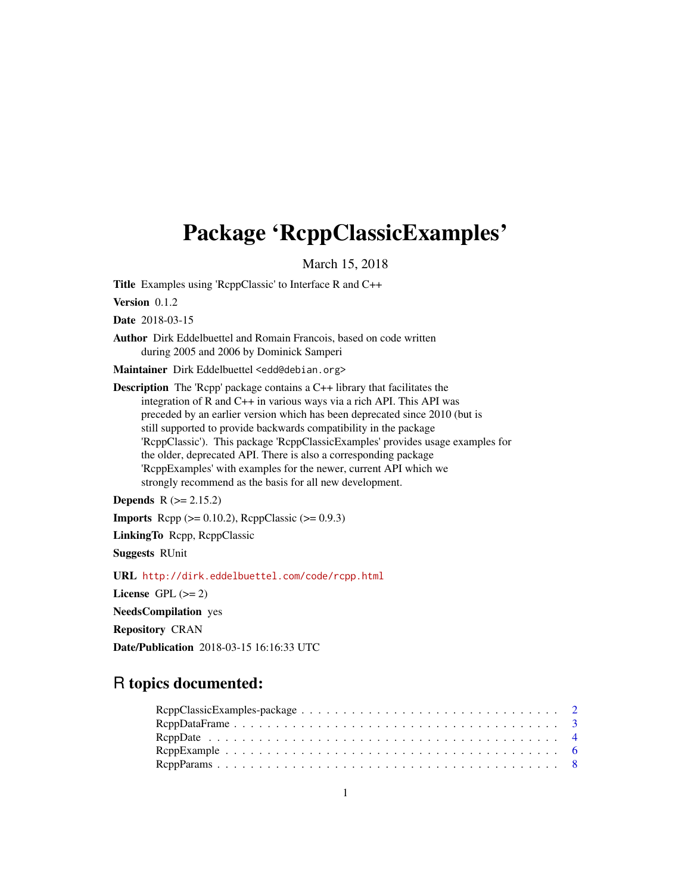# <span id="page-0-0"></span>Package 'RcppClassicExamples'

March 15, 2018

Title Examples using 'RcppClassic' to Interface R and C++

Version 0.1.2

Date 2018-03-15

Author Dirk Eddelbuettel and Romain Francois, based on code written during 2005 and 2006 by Dominick Samperi

Maintainer Dirk Eddelbuettel <edd@debian.org>

Description The 'Rcpp' package contains a C++ library that facilitates the integration of R and C++ in various ways via a rich API. This API was preceded by an earlier version which has been deprecated since 2010 (but is still supported to provide backwards compatibility in the package 'RcppClassic'). This package 'RcppClassicExamples' provides usage examples for the older, deprecated API. There is also a corresponding package 'RcppExamples' with examples for the newer, current API which we strongly recommend as the basis for all new development.

**Depends**  $R$  ( $>= 2.15.2$ )

**Imports** Rcpp  $(>= 0.10.2)$ , RcppClassic  $(>= 0.9.3)$ 

LinkingTo Rcpp, RcppClassic

Suggests RUnit

URL <http://dirk.eddelbuettel.com/code/rcpp.html>

License GPL  $(>= 2)$ 

NeedsCompilation yes

Repository CRAN

Date/Publication 2018-03-15 16:16:33 UTC

# R topics documented: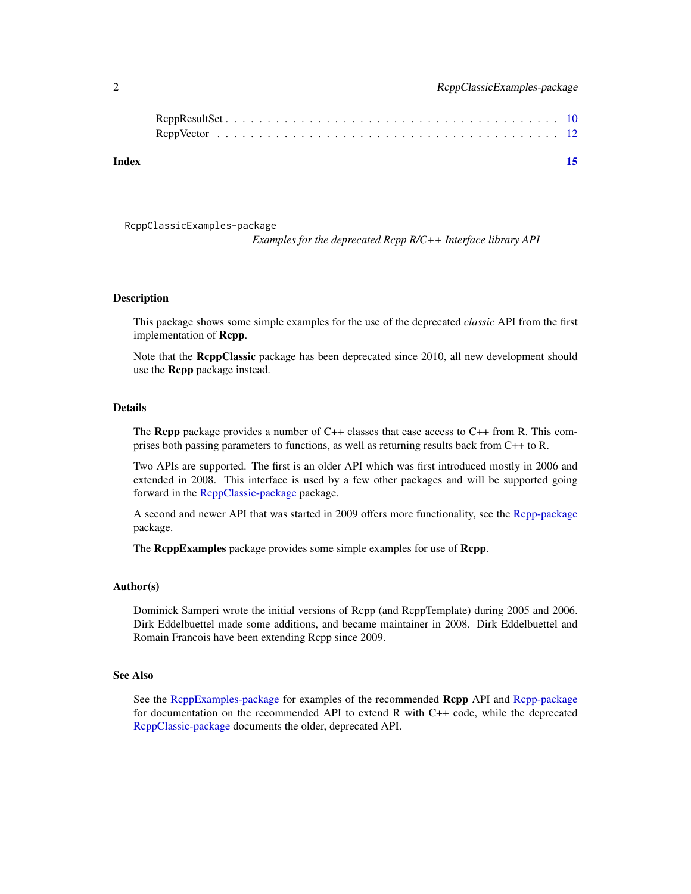<span id="page-1-0"></span>

| Index |  |  |  |  |  |  |  |  |  |  |  |  |  |  |  |  | 15 |  |
|-------|--|--|--|--|--|--|--|--|--|--|--|--|--|--|--|--|----|--|

RcppClassicExamples-package

*Examples for the deprecated Rcpp R/C++ Interface library API*

# Description

This package shows some simple examples for the use of the deprecated *classic* API from the first implementation of Rcpp.

Note that the RcppClassic package has been deprecated since 2010, all new development should use the Rcpp package instead.

#### Details

The **Rcpp** package provides a number of C++ classes that ease access to C++ from R. This comprises both passing parameters to functions, as well as returning results back from C++ to R.

Two APIs are supported. The first is an older API which was first introduced mostly in 2006 and extended in 2008. This interface is used by a few other packages and will be supported going forward in the [RcppClassic-package](#page-0-0) package.

A second and newer API that was started in 2009 offers more functionality, see the [Rcpp-package](#page-0-0) package.

The **RcppExamples** package provides some simple examples for use of **Rcpp**.

#### Author(s)

Dominick Samperi wrote the initial versions of Rcpp (and RcppTemplate) during 2005 and 2006. Dirk Eddelbuettel made some additions, and became maintainer in 2008. Dirk Eddelbuettel and Romain Francois have been extending Rcpp since 2009.

#### See Also

See the [RcppExamples-package](#page-0-0) for examples of the recommended Rcpp API and [Rcpp-package](#page-0-0) for documentation on the recommended API to extend R with C++ code, while the deprecated [RcppClassic-package](#page-0-0) documents the older, deprecated API.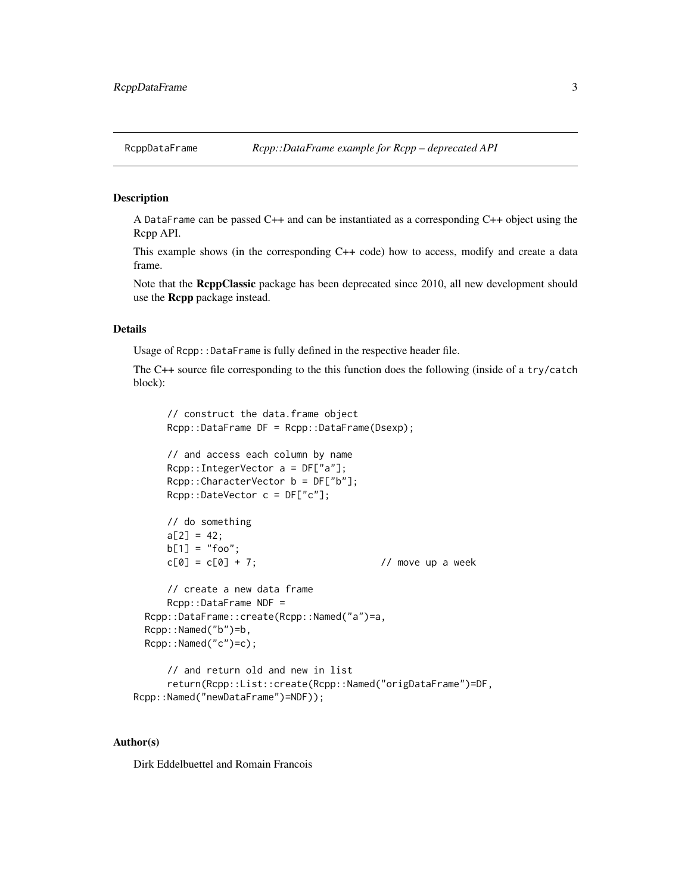<span id="page-2-0"></span>

# **Description**

A DataFrame can be passed  $C++$  and can be instantiated as a corresponding  $C++$  object using the Rcpp API.

This example shows (in the corresponding C++ code) how to access, modify and create a data frame.

Note that the RcppClassic package has been deprecated since 2010, all new development should use the Rcpp package instead.

# Details

Usage of Rcpp:: DataFrame is fully defined in the respective header file.

The C++ source file corresponding to the this function does the following (inside of a try/catch block):

```
// construct the data.frame object
   Rcpp::DataFrame DF = Rcpp::DataFrame(Dsexp);
   // and access each column by name
   Rcpp::IntegerVector a = DF["a"];
   Rcpp::CharacterVector b = DF["b"];
   Rcpp::DateVector c = DF["c"];
   // do something
   a[2] = 42;b[1] = "foo";c[0] = c[0] + 7; // move up a week
   // create a new data frame
   Rcpp::DataFrame NDF =
Rcpp::DataFrame::create(Rcpp::Named("a")=a,
Rcpp::Named("b")=b,
Rcpp::Named("c")=c);
   // and return old and new in list
```

```
return(Rcpp::List::create(Rcpp::Named("origDataFrame")=DF,
Rcpp::Named("newDataFrame")=NDF));
```
### Author(s)

Dirk Eddelbuettel and Romain Francois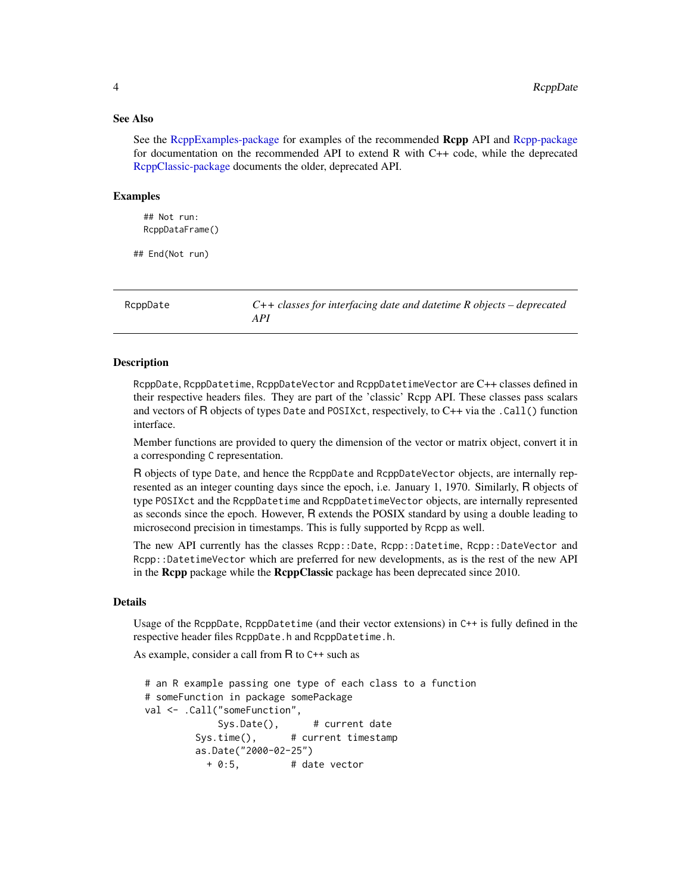#### See Also

See the [RcppExamples-package](#page-0-0) for examples of the recommended Rcpp API and [Rcpp-package](#page-0-0) for documentation on the recommended API to extend R with C++ code, while the deprecated [RcppClassic-package](#page-0-0) documents the older, deprecated API.

#### Examples

## Not run: RcppDataFrame()

## End(Not run)

RcppDate *C++ classes for interfacing date and datetime R objects – deprecated API*

### **Description**

RcppDate, RcppDatetime, RcppDateVector and RcppDatetimeVector are C++ classes defined in their respective headers files. They are part of the 'classic' Rcpp API. These classes pass scalars and vectors of R objects of types Date and POSIXct, respectively, to C++ via the .Call() function interface.

Member functions are provided to query the dimension of the vector or matrix object, convert it in a corresponding C representation.

R objects of type Date, and hence the RcppDate and RcppDateVector objects, are internally represented as an integer counting days since the epoch, i.e. January 1, 1970. Similarly, R objects of type POSIXct and the RcppDatetime and RcppDatetimeVector objects, are internally represented as seconds since the epoch. However, R extends the POSIX standard by using a double leading to microsecond precision in timestamps. This is fully supported by Rcpp as well.

The new API currently has the classes Rcpp::Date, Rcpp::Datetime, Rcpp::DateVector and Rcpp::DatetimeVector which are preferred for new developments, as is the rest of the new API in the **Rcpp** package while the **RcppClassic** package has been deprecated since 2010.

# Details

Usage of the RcppDate, RcppDatetime (and their vector extensions) in C++ is fully defined in the respective header files RcppDate.h and RcppDatetime.h.

As example, consider a call from R to C++ such as

```
# an R example passing one type of each class to a function
# someFunction in package somePackage
val <- .Call("someFunction",
            Sys.Date(), # current date
        Sys.time(), # current timestamp
        as.Date("2000-02-25")
          + 0:5, # date vector
```
<span id="page-3-0"></span>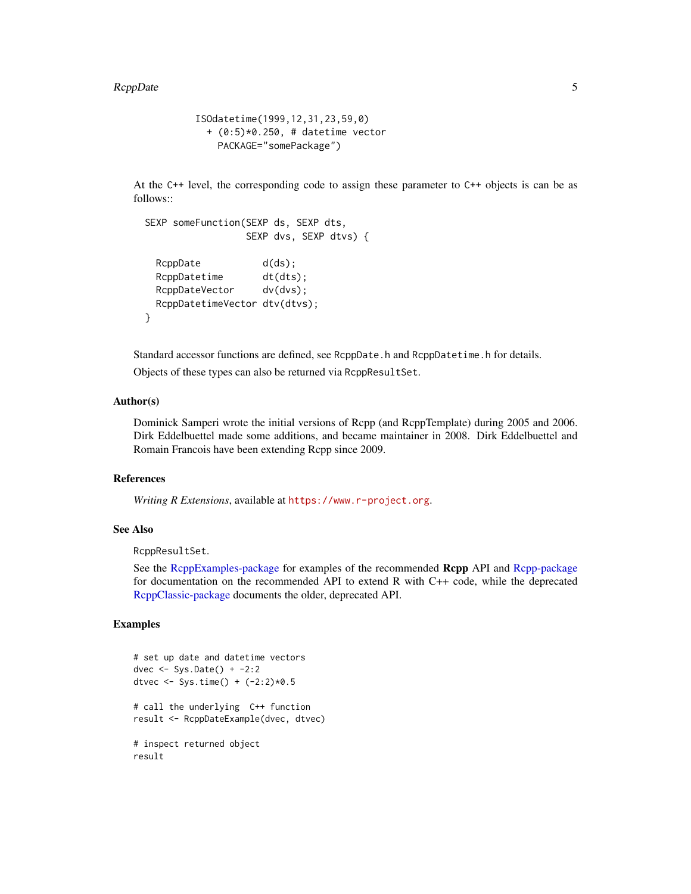#### <span id="page-4-0"></span>RcppDate 55

```
ISOdatetime(1999,12,31,23,59,0)
  + (0:5)*0.250, # datetime vector
    PACKAGE="somePackage")
```
At the C++ level, the corresponding code to assign these parameter to C++ objects is can be as follows::

```
SEXP someFunction(SEXP ds, SEXP dts,
                SEXP dvs, SEXP dtvs) {
 RcppDate d(ds);
 RcppDatetime dt(dts);
 RcppDateVector dv(dvs);
 RcppDatetimeVector dtv(dtvs);
}
```
Standard accessor functions are defined, see RcppDate.h and RcppDatetime.h for details.

Objects of these types can also be returned via RcppResultSet.

# Author(s)

Dominick Samperi wrote the initial versions of Rcpp (and RcppTemplate) during 2005 and 2006. Dirk Eddelbuettel made some additions, and became maintainer in 2008. Dirk Eddelbuettel and Romain Francois have been extending Rcpp since 2009.

#### References

*Writing R Extensions*, available at <https://www.r-project.org>.

#### See Also

RcppResultSet.

See the [RcppExamples-package](#page-0-0) for examples of the recommended Rcpp API and [Rcpp-package](#page-0-0) for documentation on the recommended API to extend R with C++ code, while the deprecated [RcppClassic-package](#page-0-0) documents the older, deprecated API.

#### Examples

```
# set up date and datetime vectors
dvec <- Sys.Date() + -2:2
dtvec <- Sys.time() + (-2:2)*0.5# call the underlying C++ function
result <- RcppDateExample(dvec, dtvec)
# inspect returned object
result
```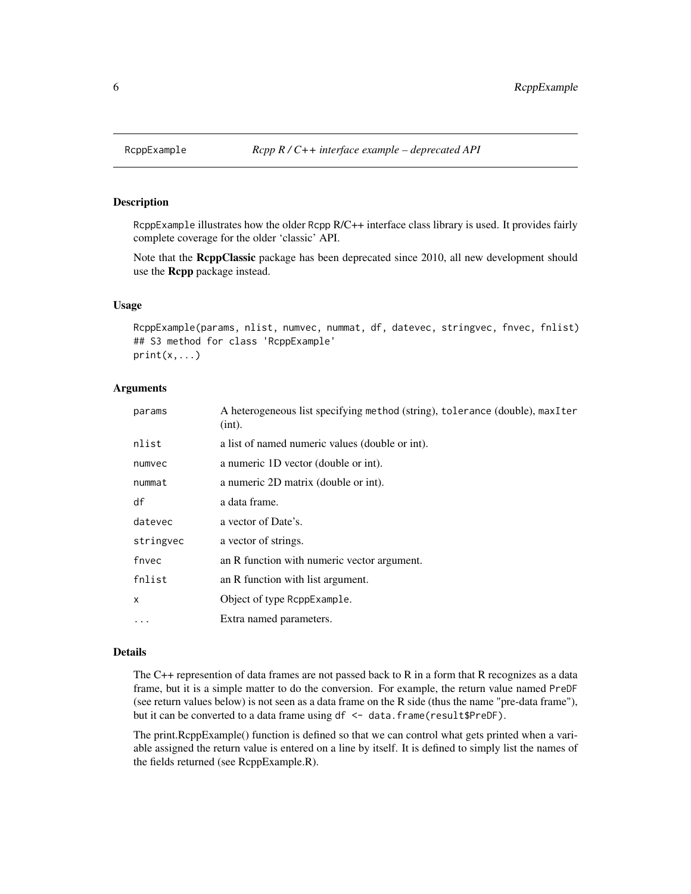#### Description

RcppExample illustrates how the older Rcpp R/C++ interface class library is used. It provides fairly complete coverage for the older 'classic' API.

Note that the RcppClassic package has been deprecated since 2010, all new development should use the Rcpp package instead.

#### Usage

```
RcppExample(params, nlist, numvec, nummat, df, datevec, stringvec, fnvec, fnlist)
## S3 method for class 'RcppExample'
print(x, \ldots)
```
#### Arguments

| params    | A heterogeneous list specifying method (string), tolerance (double), maxIter<br>(int). |
|-----------|----------------------------------------------------------------------------------------|
| nlist     | a list of named numeric values (double or int).                                        |
| numvec    | a numeric 1D vector (double or int).                                                   |
| nummat    | a numeric 2D matrix (double or int).                                                   |
| df        | a data frame.                                                                          |
| datevec   | a vector of Date's.                                                                    |
| stringvec | a vector of strings.                                                                   |
| fnvec     | an R function with numeric vector argument.                                            |
| fnlist    | an R function with list argument.                                                      |
| x         | Object of type RcppExample.                                                            |
| .         | Extra named parameters.                                                                |
|           |                                                                                        |

# Details

The C++ represention of data frames are not passed back to R in a form that R recognizes as a data frame, but it is a simple matter to do the conversion. For example, the return value named PreDF (see return values below) is not seen as a data frame on the R side (thus the name "pre-data frame"), but it can be converted to a data frame using df <- data.frame(result\$PreDF).

The print.RcppExample() function is defined so that we can control what gets printed when a variable assigned the return value is entered on a line by itself. It is defined to simply list the names of the fields returned (see RcppExample.R).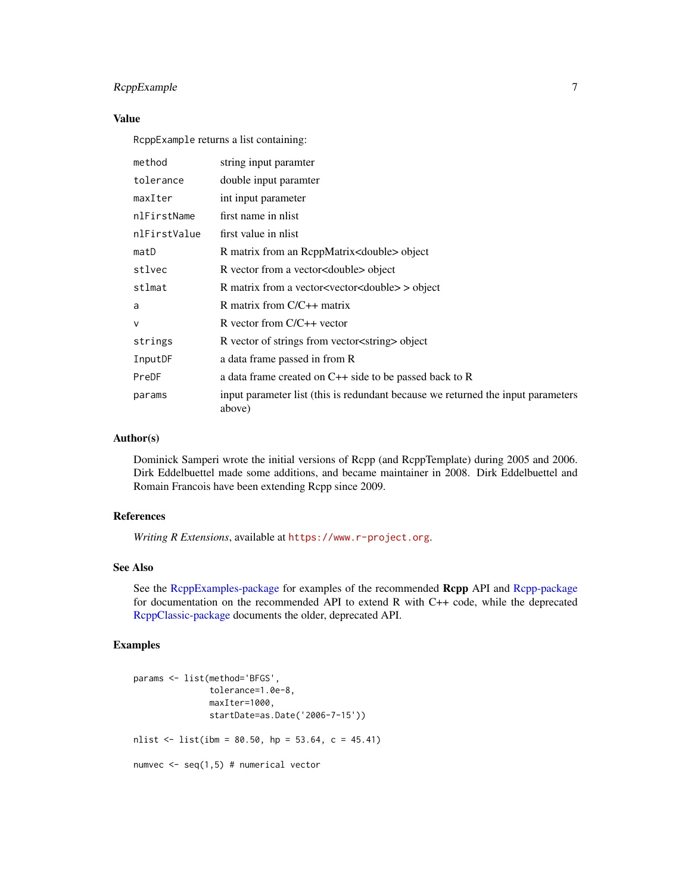# <span id="page-6-0"></span>RcppExample 7

# Value

RcppExample returns a list containing:

| method       | string input paramter                                                                      |
|--------------|--------------------------------------------------------------------------------------------|
| tolerance    | double input paramter                                                                      |
| maxIter      | int input parameter                                                                        |
| nlFirstName  | first name in nlist                                                                        |
| nlFirstValue | first value in nlist                                                                       |
| matD         | R matrix from an ReppMatrix <double> object</double>                                       |
| stlvec       | R vector from a vector <double> object</double>                                            |
| stlmat       | R matrix from a vector <vector<double> &gt; object</vector<double>                         |
| a            | R matrix from $C/C++$ matrix                                                               |
| $\mathsf{V}$ | R vector from $C/C++$ vector                                                               |
| strings      | R vector of strings from vector string > object                                            |
| InputDF      | a data frame passed in from R                                                              |
| PreDF        | a data frame created on $C++$ side to be passed back to R                                  |
| params       | input parameter list (this is redundant because we returned the input parameters<br>above) |

#### Author(s)

Dominick Samperi wrote the initial versions of Rcpp (and RcppTemplate) during 2005 and 2006. Dirk Eddelbuettel made some additions, and became maintainer in 2008. Dirk Eddelbuettel and Romain Francois have been extending Rcpp since 2009.

# References

*Writing R Extensions*, available at <https://www.r-project.org>.

# See Also

See the [RcppExamples-package](#page-0-0) for examples of the recommended Rcpp API and [Rcpp-package](#page-0-0) for documentation on the recommended API to extend R with C++ code, while the deprecated [RcppClassic-package](#page-0-0) documents the older, deprecated API.

# Examples

```
params <- list(method='BFGS',
               tolerance=1.0e-8,
               maxIter=1000,
               startDate=as.Date('2006-7-15'))
nlist \le list(ibm = 80.50, hp = 53.64, c = 45.41)
numvec \leq seq(1,5) # numerical vector
```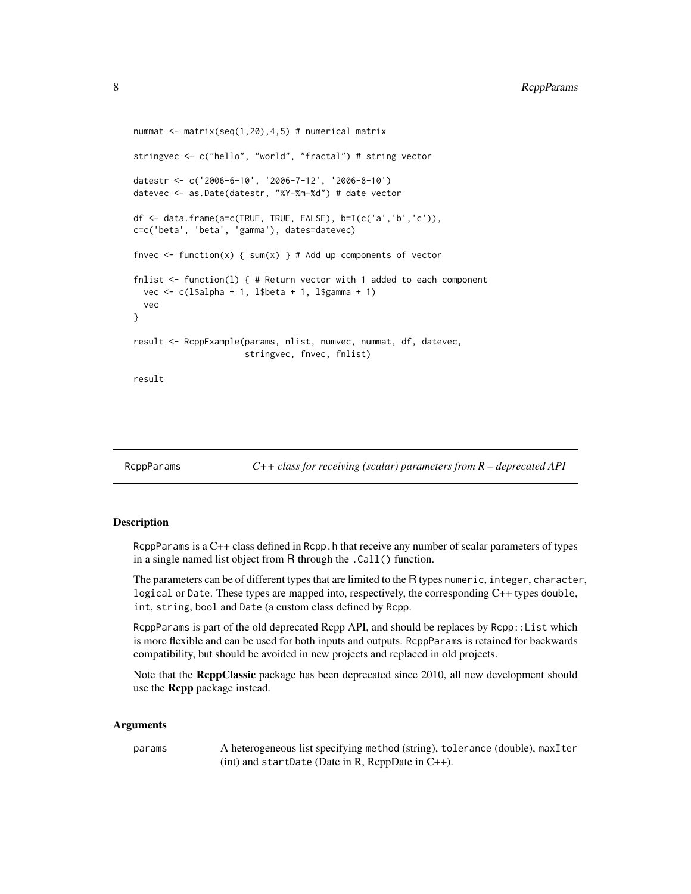```
nummat \leq matrix(seq(1,20),4,5) # numerical matrix
stringvec <- c("hello", "world", "fractal") # string vector
datestr <- c('2006-6-10', '2006-7-12', '2006-8-10')
datevec <- as.Date(datestr, "%Y-%m-%d") # date vector
df <- data.frame(a=c(TRUE, TRUE, FALSE), b=I(c('a','b','c')),
c=c('beta', 'beta', 'gamma'), dates=datevec)
fnvec <- function(x) { sum(x) } # Add up components of vector
fnlist \le function(1) { # Return vector with 1 added to each component
 vec <- c(l$alpha + 1, l$beta + 1, l$gamma + 1)
 vec
}
result <- RcppExample(params, nlist, numvec, nummat, df, datevec,
                      stringvec, fnvec, fnlist)
result
```

```
RcppParams C++ class for receiving (scalar) parameters from R – deprecated API
```
# Description

RcppParams is a C++ class defined in Rcpp. h that receive any number of scalar parameters of types in a single named list object from R through the .Call() function.

The parameters can be of different types that are limited to the R types numeric, integer, character, logical or Date. These types are mapped into, respectively, the corresponding C++ types double, int, string, bool and Date (a custom class defined by Rcpp.

RcppParams is part of the old deprecated Rcpp API, and should be replaces by Rcpp::List which is more flexible and can be used for both inputs and outputs. RcppParams is retained for backwards compatibility, but should be avoided in new projects and replaced in old projects.

Note that the RcppClassic package has been deprecated since 2010, all new development should use the Rcpp package instead.

#### Arguments

params A heterogeneous list specifying method (string), tolerance (double), maxIter (int) and startDate (Date in R, RcppDate in C++).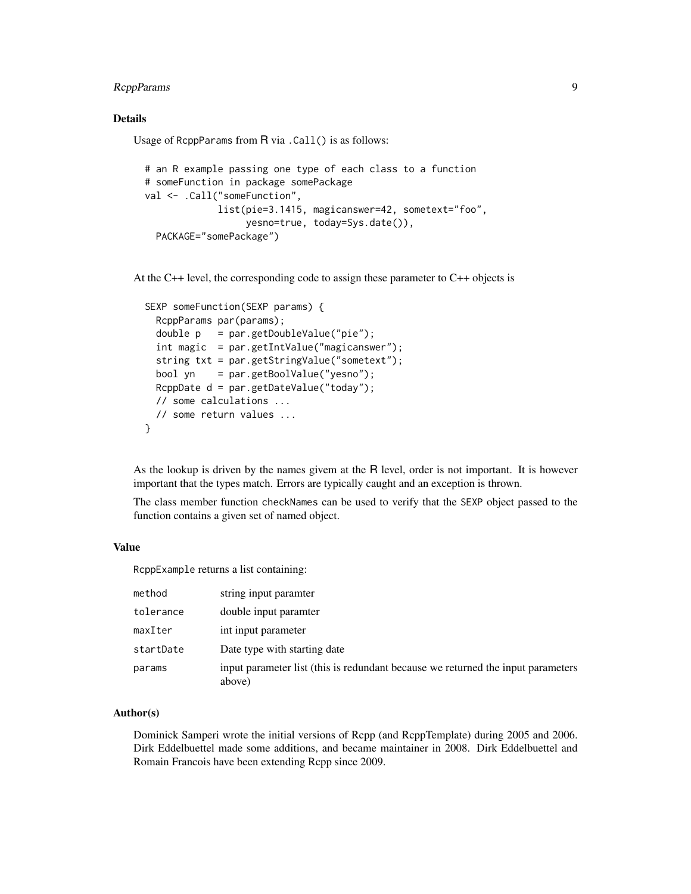# RcppParams 9

# Details

Usage of RcppParams from R via .Call() is as follows:

```
# an R example passing one type of each class to a function
# someFunction in package somePackage
val <- .Call("someFunction",
            list(pie=3.1415, magicanswer=42, sometext="foo",
                 yesno=true, today=Sys.date()),
 PACKAGE="somePackage")
```
At the C++ level, the corresponding code to assign these parameter to C++ objects is

```
SEXP someFunction(SEXP params) {
 RcppParams par(params);
 double p = par.getDoubleValue("pie");
 int magic = par.getIntValue("magicanswer");
 string txt = par.getStringValue("sometext");
 bool yn = par.getBoolValue("yesno");
 RcppDate d = par.getDateValue("today");
 // some calculations ...
 // some return values ...
}
```
As the lookup is driven by the names givem at the R level, order is not important. It is however important that the types match. Errors are typically caught and an exception is thrown.

The class member function checkNames can be used to verify that the SEXP object passed to the function contains a given set of named object.

# Value

RcppExample returns a list containing:

| method    | string input paramter                                                                      |
|-----------|--------------------------------------------------------------------------------------------|
| tolerance | double input paramter                                                                      |
| maxIter   | int input parameter                                                                        |
| startDate | Date type with starting date                                                               |
| params    | input parameter list (this is redundant because we returned the input parameters<br>above) |

# Author(s)

Dominick Samperi wrote the initial versions of Rcpp (and RcppTemplate) during 2005 and 2006. Dirk Eddelbuettel made some additions, and became maintainer in 2008. Dirk Eddelbuettel and Romain Francois have been extending Rcpp since 2009.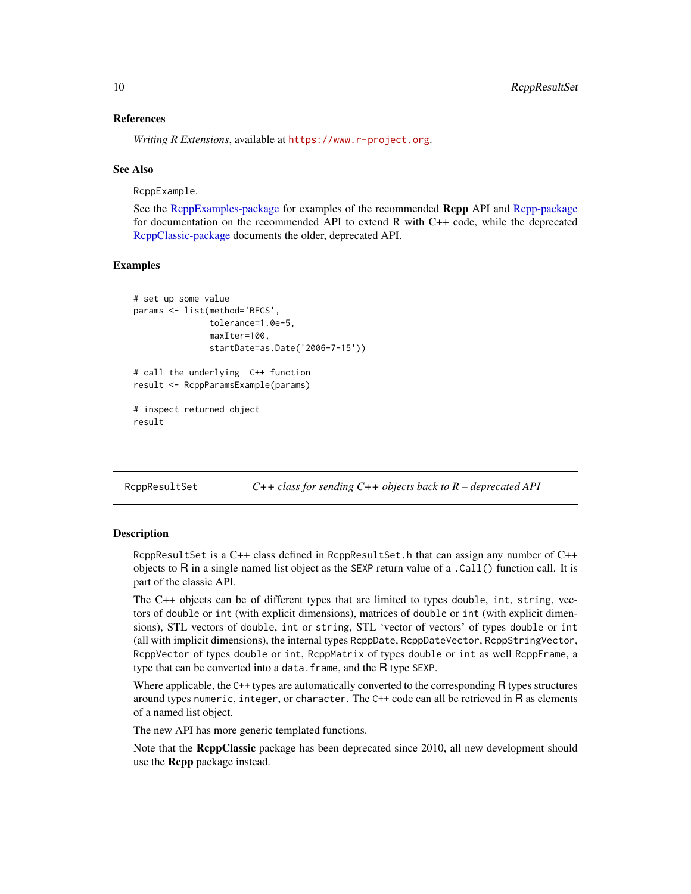#### References

*Writing R Extensions*, available at <https://www.r-project.org>.

#### See Also

RcppExample.

See the [RcppExamples-package](#page-0-0) for examples of the recommended Rcpp API and [Rcpp-package](#page-0-0) for documentation on the recommended API to extend R with C++ code, while the deprecated [RcppClassic-package](#page-0-0) documents the older, deprecated API.

# Examples

```
# set up some value
params <- list(method='BFGS',
               tolerance=1.0e-5,
               maxIter=100,
               startDate=as.Date('2006-7-15'))
# call the underlying C++ function
result <- RcppParamsExample(params)
# inspect returned object
result
```
RcppResultSet *C++ class for sending C++ objects back to R – deprecated API*

### Description

RcppResultSet is a  $C++$  class defined in RcppResultSet.h that can assign any number of  $C++$ objects to R in a single named list object as the SEXP return value of a .Call() function call. It is part of the classic API.

The C++ objects can be of different types that are limited to types double, int, string, vectors of double or int (with explicit dimensions), matrices of double or int (with explicit dimensions), STL vectors of double, int or string, STL 'vector of vectors' of types double or int (all with implicit dimensions), the internal types RcppDate, RcppDateVector, RcppStringVector, RcppVector of types double or int, RcppMatrix of types double or int as well RcppFrame, a type that can be converted into a data.  $frame$ , and the  $R$  type SEXP.

Where applicable, the C++ types are automatically converted to the corresponding R types structures around types numeric, integer, or character. The C++ code can all be retrieved in R as elements of a named list object.

The new API has more generic templated functions.

Note that the ReppClassic package has been deprecated since 2010, all new development should use the Rcpp package instead.

<span id="page-9-0"></span>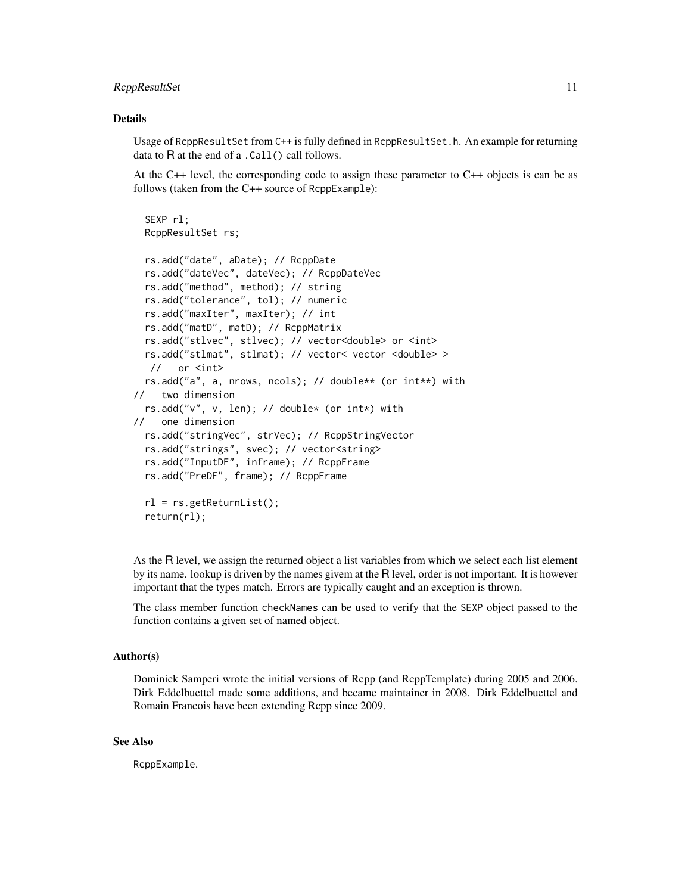#### RcppResultSet 11

### Details

Usage of RcppResultSet from C++ is fully defined in RcppResultSet.h. An example for returning data to R at the end of a .Call() call follows.

At the C++ level, the corresponding code to assign these parameter to C++ objects is can be as follows (taken from the C++ source of RcppExample):

```
SEXP rl;
 RcppResultSet rs;
 rs.add("date", aDate); // RcppDate
 rs.add("dateVec", dateVec); // RcppDateVec
 rs.add("method", method); // string
 rs.add("tolerance", tol); // numeric
 rs.add("maxIter", maxIter); // int
 rs.add("matD", matD); // RcppMatrix
 rs.add("stlvec", stlvec); // vector<double> or <int>
 rs.add("stlmat", stlmat); // vector< vector <double> >
  // or <int>
 rs.add("a", a, nrows, ncols); // double** (or int**) with
// two dimension
 rs.add("v", v, len); // double* (or int*) with
// one dimension
 rs.add("stringVec", strVec); // RcppStringVector
 rs.add("strings", svec); // vector<string>
 rs.add("InputDF", inframe); // RcppFrame
 rs.add("PreDF", frame); // RcppFrame
 rl = rs.getReturnList();
 return(rl);
```
As the R level, we assign the returned object a list variables from which we select each list element by its name. lookup is driven by the names givem at the R level, order is not important. It is however important that the types match. Errors are typically caught and an exception is thrown.

The class member function checkNames can be used to verify that the SEXP object passed to the function contains a given set of named object.

### Author(s)

Dominick Samperi wrote the initial versions of Rcpp (and RcppTemplate) during 2005 and 2006. Dirk Eddelbuettel made some additions, and became maintainer in 2008. Dirk Eddelbuettel and Romain Francois have been extending Rcpp since 2009.

#### See Also

RcppExample.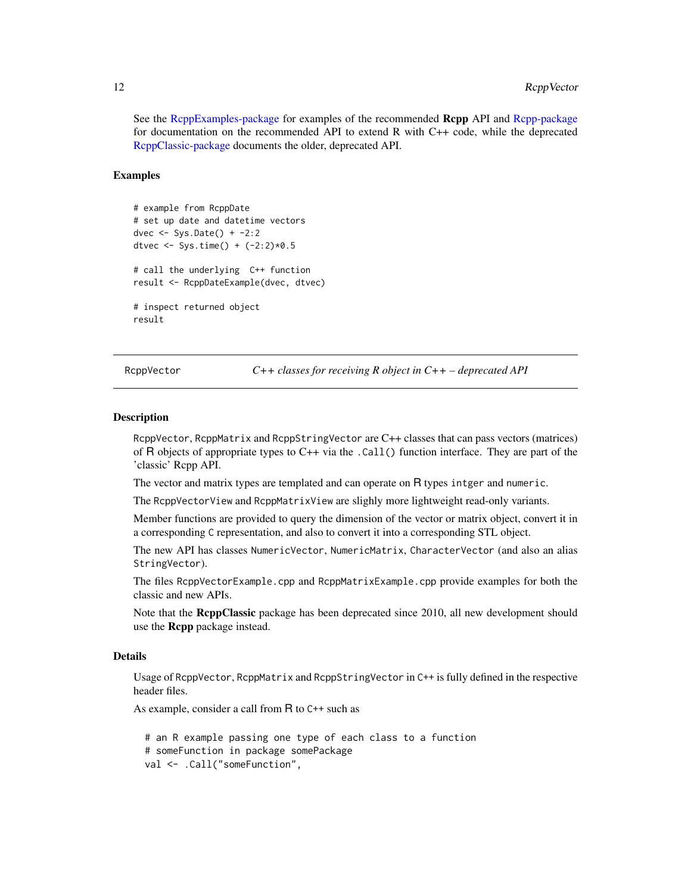<span id="page-11-0"></span>See the [RcppExamples-package](#page-0-0) for examples of the recommended Rcpp API and [Rcpp-package](#page-0-0) for documentation on the recommended API to extend R with C++ code, while the deprecated [RcppClassic-package](#page-0-0) documents the older, deprecated API.

#### Examples

```
# example from RcppDate
# set up date and datetime vectors
dvec \leq Sys.Date() + -2:2dtvec <- Sys.time() + (-2:2)*0.5# call the underlying C++ function
result <- RcppDateExample(dvec, dtvec)
# inspect returned object
result
```
RcppVector *C++ classes for receiving R object in C++ – deprecated API*

#### **Description**

RcppVector, RcppMatrix and RcppStringVector are C++ classes that can pass vectors (matrices) of R objects of appropriate types to C++ via the .Call() function interface. They are part of the 'classic' Rcpp API.

The vector and matrix types are templated and can operate on R types intger and numeric.

The RcppVectorView and RcppMatrixView are slighly more lightweight read-only variants.

Member functions are provided to query the dimension of the vector or matrix object, convert it in a corresponding C representation, and also to convert it into a corresponding STL object.

The new API has classes NumericVector, NumericMatrix, CharacterVector (and also an alias StringVector).

The files RcppVectorExample.cpp and RcppMatrixExample.cpp provide examples for both the classic and new APIs.

Note that the ReppClassic package has been deprecated since 2010, all new development should use the **Rcpp** package instead.

#### Details

Usage of RcppVector, RcppMatrix and RcppStringVector in C++ is fully defined in the respective header files.

As example, consider a call from R to C++ such as

```
# an R example passing one type of each class to a function
# someFunction in package somePackage
val <- .Call("someFunction",
```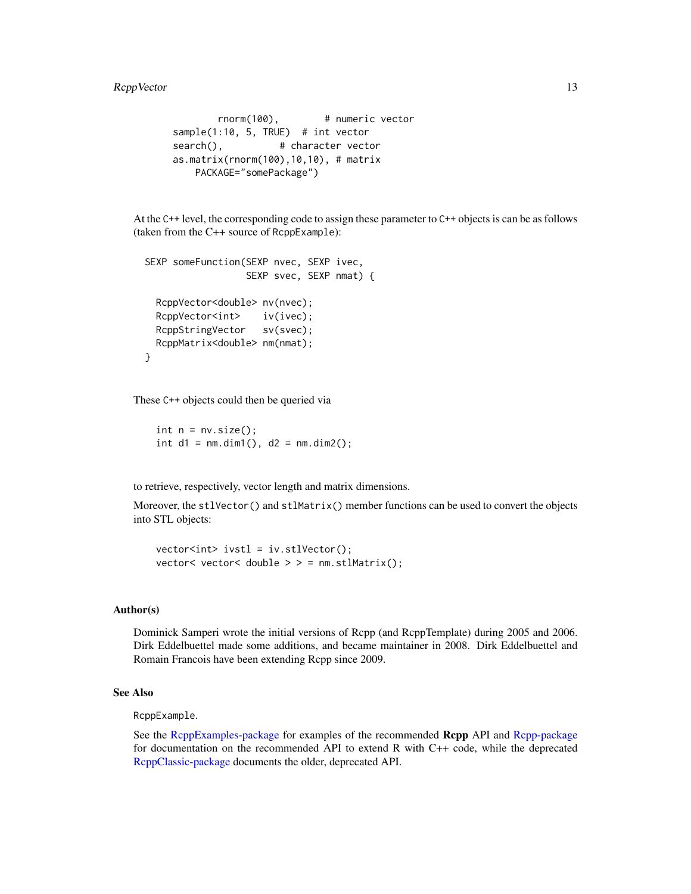```
rnorm(100), # numeric vector
sample(1:10, 5, TRUE) # int vector
search(), # character vectoras.matrix(rnorm(100),10,10), # matrix
   PACKAGE="somePackage")
```
At the C++ level, the corresponding code to assign these parameter to C++ objects is can be as follows (taken from the C++ source of RcppExample):

```
SEXP someFunction(SEXP nvec, SEXP ivec,
                 SEXP svec, SEXP nmat) {
 RcppVector<double> nv(nvec);
 RcppVector<int> iv(ivec);
 RcppStringVector sv(svec);
 RcppMatrix<double> nm(nmat);
}
```
These C++ objects could then be queried via

int  $n = nv.size()$ ; int  $d1 = nm.dim1()$ ,  $d2 = nm.dim2()$ ;

to retrieve, respectively, vector length and matrix dimensions.

Moreover, the stlVector() and stlMatrix() member functions can be used to convert the objects into STL objects:

vector<int> ivstl = iv.stlVector(); vector< vector< double  $>$  > = nm.stlMatrix();

#### Author(s)

Dominick Samperi wrote the initial versions of Rcpp (and RcppTemplate) during 2005 and 2006. Dirk Eddelbuettel made some additions, and became maintainer in 2008. Dirk Eddelbuettel and Romain Francois have been extending Rcpp since 2009.

# See Also

RcppExample.

See the [RcppExamples-package](#page-0-0) for examples of the recommended Rcpp API and [Rcpp-package](#page-0-0) for documentation on the recommended API to extend R with C++ code, while the deprecated [RcppClassic-package](#page-0-0) documents the older, deprecated API.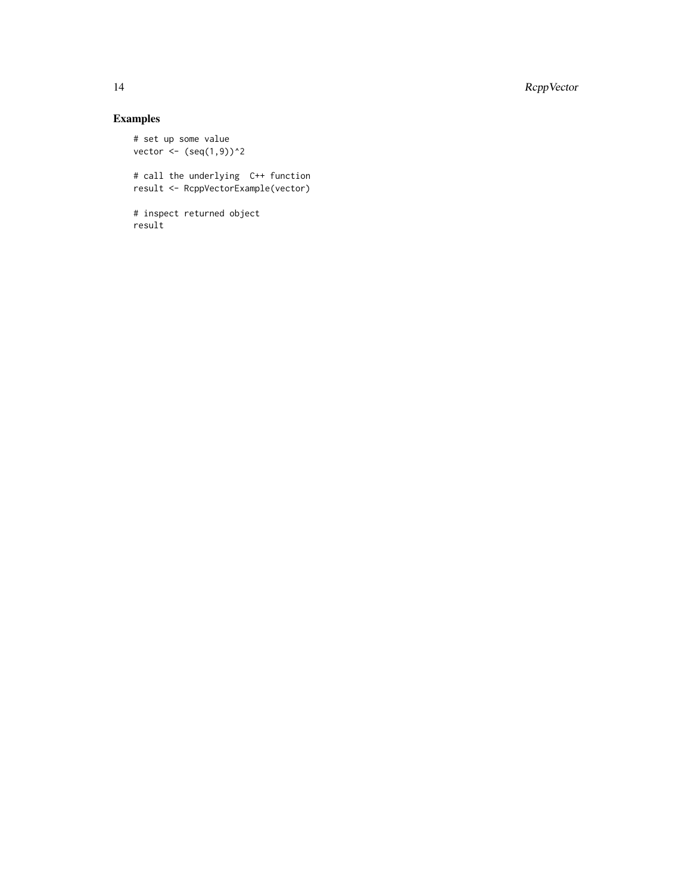14 RcppVector

# Examples

```
# set up some value
vector <- (seq(1,9))^2
# call the underlying C++ function
result <- RcppVectorExample(vector)
# inspect returned object
result
```